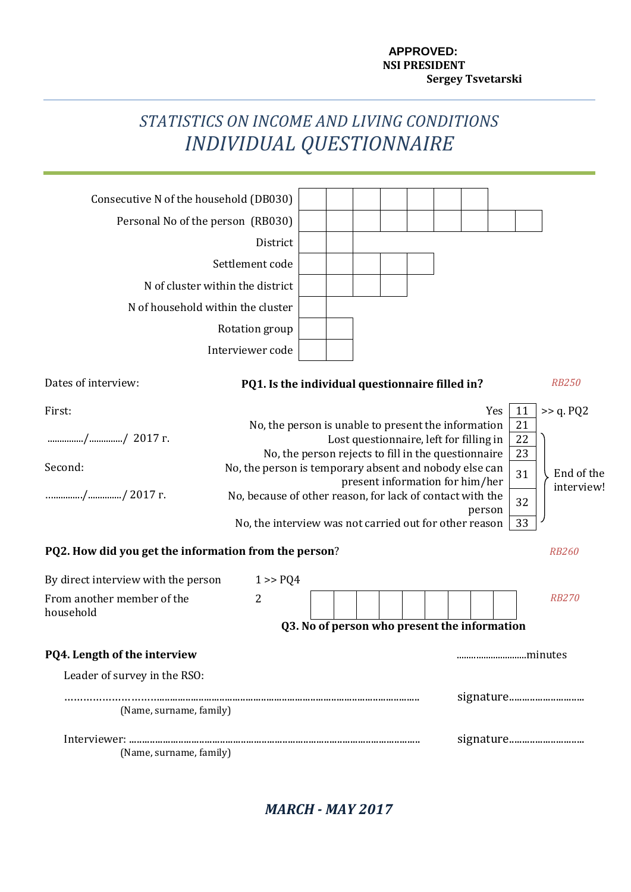# **APPROVED: NSI PRESIDENT Sergey Tsvetarski**

# *STATISTICS ON INCOME AND LIVING CONDITIONS INDIVIDUAL QUESTIONNAIRE*

| Consecutive N of the household (DB030)                                                                                                                                                   |                                                                                                                                                                                                                                                                   |                                                                                                     |                                                                            |  |               |                                        |                                                                       |
|------------------------------------------------------------------------------------------------------------------------------------------------------------------------------------------|-------------------------------------------------------------------------------------------------------------------------------------------------------------------------------------------------------------------------------------------------------------------|-----------------------------------------------------------------------------------------------------|----------------------------------------------------------------------------|--|---------------|----------------------------------------|-----------------------------------------------------------------------|
| Personal No of the person (RB030)                                                                                                                                                        |                                                                                                                                                                                                                                                                   |                                                                                                     |                                                                            |  |               |                                        |                                                                       |
|                                                                                                                                                                                          | District                                                                                                                                                                                                                                                          |                                                                                                     |                                                                            |  |               |                                        |                                                                       |
|                                                                                                                                                                                          | Settlement code                                                                                                                                                                                                                                                   |                                                                                                     |                                                                            |  |               |                                        |                                                                       |
| N of cluster within the district                                                                                                                                                         |                                                                                                                                                                                                                                                                   |                                                                                                     |                                                                            |  |               |                                        |                                                                       |
| N of household within the cluster                                                                                                                                                        |                                                                                                                                                                                                                                                                   |                                                                                                     |                                                                            |  |               |                                        |                                                                       |
|                                                                                                                                                                                          | Rotation group                                                                                                                                                                                                                                                    |                                                                                                     |                                                                            |  |               |                                        |                                                                       |
|                                                                                                                                                                                          | Interviewer code                                                                                                                                                                                                                                                  |                                                                                                     |                                                                            |  |               |                                        |                                                                       |
| Dates of interview:                                                                                                                                                                      | PQ1. Is the individual questionnaire filled in?                                                                                                                                                                                                                   |                                                                                                     |                                                                            |  |               |                                        | <b>RB250</b>                                                          |
| First:<br>// 2017 r.<br>Second:<br>// 2017 r.<br>PQ2. How did you get the information from the person?<br>By direct interview with the person<br>From another member of the<br>household | No, the person is unable to present the information<br>No, the person is temporary absent and nobody else can<br>No, because of other reason, for lack of contact with the<br>No, the interview was not carried out for other reason<br>1 > PQ4<br>$\overline{2}$ | No, the person rejects to fill in the questionnaire<br>Q3. No of person who present the information | Lost questionnaire, left for filling in<br>present information for him/her |  | Yes<br>person | 11<br>21<br>22<br>23<br>31<br>32<br>33 | >> q. PQ2<br>End of the<br>interview!<br><b>RB260</b><br><b>RB270</b> |
| PQ4. Length of the interview                                                                                                                                                             |                                                                                                                                                                                                                                                                   |                                                                                                     |                                                                            |  |               | minutes                                |                                                                       |
| Leader of survey in the RSO:                                                                                                                                                             |                                                                                                                                                                                                                                                                   |                                                                                                     |                                                                            |  |               |                                        |                                                                       |
| (Name, surname, family)                                                                                                                                                                  |                                                                                                                                                                                                                                                                   |                                                                                                     |                                                                            |  |               |                                        | signature                                                             |
| (Name, surname, family)                                                                                                                                                                  |                                                                                                                                                                                                                                                                   |                                                                                                     |                                                                            |  |               |                                        |                                                                       |

*MARCH - MAY 2017*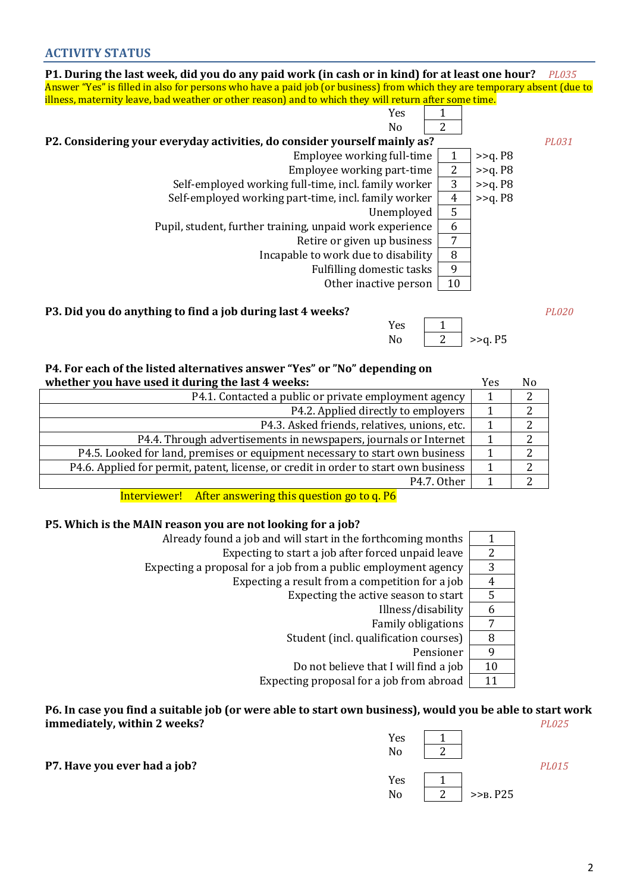| P1. During the last week, did you do any paid work (in cash or in kind) for at least one hour?                            |                |            | <i>PL035</i> |
|---------------------------------------------------------------------------------------------------------------------------|----------------|------------|--------------|
| Answer "Yes" is filled in also for persons who have a paid job (or business) from which they are temporary absent (due to |                |            |              |
| illness, maternity leave, bad weather or other reason) and to which they will return after some time.                     |                |            |              |
| Yes                                                                                                                       |                |            |              |
| N <sub>0</sub>                                                                                                            |                |            |              |
| P2. Considering your everyday activities, do consider yourself mainly as?                                                 |                |            | PL031        |
| Employee working full-time                                                                                                | $\mathbf{1}$   | $>>q$ . P8 |              |
| Employee working part-time                                                                                                | 2              | $>>q$ . P8 |              |
| Self-employed working full-time, incl. family worker                                                                      | 3              | $>>q$ . P8 |              |
| Self-employed working part-time, incl. family worker                                                                      | $\overline{4}$ | $>>q$ . P8 |              |
| Unemployed                                                                                                                | 5              |            |              |
| Pupil, student, further training, unpaid work experience                                                                  | 6              |            |              |
| Retire or given up business                                                                                               | 7              |            |              |
| Incapable to work due to disability                                                                                       | 8              |            |              |
| <b>Fulfilling domestic tasks</b>                                                                                          | 9              |            |              |
| Other inactive person                                                                                                     | 10             |            |              |

#### **P3. Did you do anything to find a job during last 4 weeks?** *PL020*

| Yes |            |
|-----|------------|
| Nο  | $>>q$ . P5 |

#### **P4. For each of the listed alternatives answer "Yes" or "No" depending on whether you have used it during the last 4 weeks:** Yes No

| WHELIET YOU HAVE USEN IT UNITILE THE TAST T WEEKS.                                  | 1 C.S | 19 U |
|-------------------------------------------------------------------------------------|-------|------|
| P4.1. Contacted a public or private employment agency                               |       |      |
| P4.2. Applied directly to employers                                                 |       |      |
| P4.3. Asked friends, relatives, unions, etc.                                        |       |      |
| P4.4. Through advertisements in newspapers, journals or Internet                    |       |      |
| P4.5. Looked for land, premises or equipment necessary to start own business        |       |      |
| P4.6. Applied for permit, patent, license, or credit in order to start own business |       |      |
| P4.7. Other                                                                         |       |      |

Interviewer! After answering this question go to q. P6

# **P5. Which is the MAIN reason you are not looking for a job?**

| Already found a job and will start in the forthcoming months   |    |
|----------------------------------------------------------------|----|
| Expecting to start a job after forced unpaid leave             | 2  |
| Expecting a proposal for a job from a public employment agency | 3  |
| Expecting a result from a competition for a job                | 4  |
| Expecting the active season to start                           | 5  |
| Illness/disability                                             | 6  |
| <b>Family obligations</b>                                      | 7  |
| Student (incl. qualification courses)                          | 8  |
| Pensioner                                                      | 9  |
| Do not believe that I will find a job                          | 10 |
| Expecting proposal for a job from abroad                       | 11 |

#### **P6. In case you find a suitable job (or were able to start own business), would you be able to start work immediately, within 2 weeks?** *PL025*

|                              | Yes<br>No | n |             |       |
|------------------------------|-----------|---|-------------|-------|
| P7. Have you ever had a job? |           |   |             | PL015 |
|                              | Yes       |   |             |       |
|                              | No        | 2 | $>>B$ . P25 |       |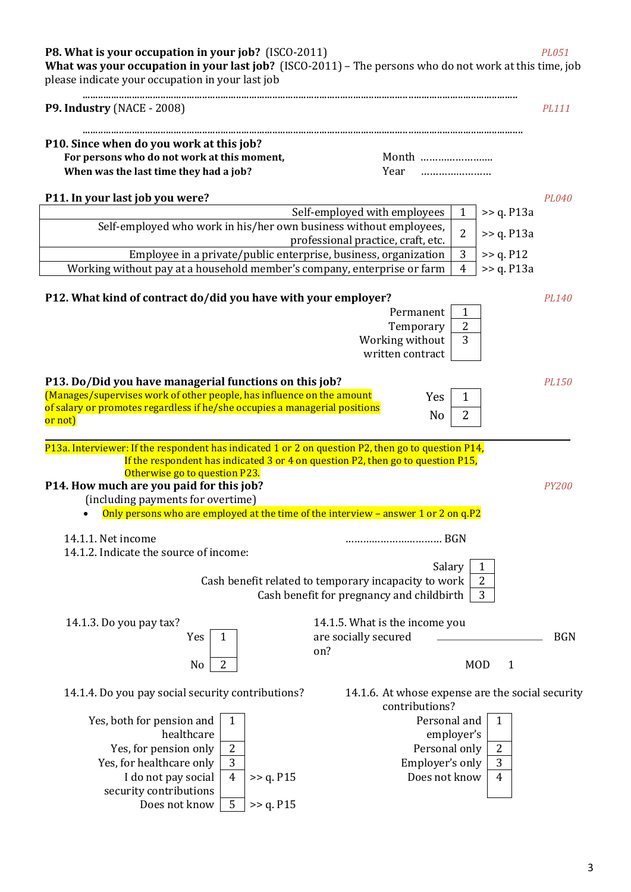# **P8. What is your occupation in your job?** (ISCO-2011) *PL051*

**What was your occupation in your last job?** (ISCO-2011) – The persons who do not work at this time, job please indicate your occupation in your last job

| <b>P9. Industry (NACE - 2008)</b>                                                                                                                                                                                                                                                       |                                                                          | PL111        |
|-----------------------------------------------------------------------------------------------------------------------------------------------------------------------------------------------------------------------------------------------------------------------------------------|--------------------------------------------------------------------------|--------------|
| P10. Since when do you work at this job?                                                                                                                                                                                                                                                |                                                                          |              |
| For persons who do not work at this moment,                                                                                                                                                                                                                                             | Month                                                                    |              |
| When was the last time they had a job?                                                                                                                                                                                                                                                  | Year                                                                     |              |
|                                                                                                                                                                                                                                                                                         |                                                                          |              |
| P11. In your last job you were?                                                                                                                                                                                                                                                         |                                                                          | PL040        |
|                                                                                                                                                                                                                                                                                         | Self-employed with employees<br>>> q. P13a<br>$\mathbf{1}$               |              |
| Self-employed who work in his/her own business without employees,                                                                                                                                                                                                                       | $\overline{2}$<br>>> q. P13a                                             |              |
|                                                                                                                                                                                                                                                                                         | professional practice, craft, etc.<br>3                                  |              |
| Employee in a private/public enterprise, business, organization<br>Working without pay at a household member's company, enterprise or farm                                                                                                                                              | >> q. P12<br>$\overline{4}$<br>$\gg$ q. P13a                             |              |
|                                                                                                                                                                                                                                                                                         |                                                                          |              |
| P12. What kind of contract do/did you have with your employer?                                                                                                                                                                                                                          |                                                                          | <b>PL140</b> |
|                                                                                                                                                                                                                                                                                         | Permanent<br>$\mathbf{1}$                                                |              |
|                                                                                                                                                                                                                                                                                         | $\overline{2}$<br>Temporary                                              |              |
|                                                                                                                                                                                                                                                                                         | 3<br>Working without                                                     |              |
|                                                                                                                                                                                                                                                                                         | written contract                                                         |              |
|                                                                                                                                                                                                                                                                                         |                                                                          |              |
| P13. Do/Did you have managerial functions on this job?                                                                                                                                                                                                                                  |                                                                          | <b>PL150</b> |
| (Manages/supervises work of other people, has influence on the amount<br>of salary or promotes regardless if he/she occupies a managerial positions                                                                                                                                     | $\mathbf{1}$<br>Yes                                                      |              |
| or not)                                                                                                                                                                                                                                                                                 | 2<br>N <sub>o</sub>                                                      |              |
|                                                                                                                                                                                                                                                                                         |                                                                          |              |
| If the respondent has indicated 3 or 4 on question P2, then go to question P15,<br>Otherwise go to question P23.<br>P14. How much are you paid for this job?<br>(including payments for overtime)<br>Only persons who are employed at the time of the interview - answer 1 or 2 on q.P2 |                                                                          | <b>PY200</b> |
| 14.1.1. Net income                                                                                                                                                                                                                                                                      |                                                                          |              |
| 14.1.2. Indicate the source of income:                                                                                                                                                                                                                                                  |                                                                          |              |
|                                                                                                                                                                                                                                                                                         | $\mathbf{1}$<br>Salary                                                   |              |
|                                                                                                                                                                                                                                                                                         | $\boldsymbol{2}$<br>Cash benefit related to temporary incapacity to work |              |
|                                                                                                                                                                                                                                                                                         | Cash benefit for pregnancy and childbirth<br>3                           |              |
|                                                                                                                                                                                                                                                                                         |                                                                          |              |
| 14.1.3. Do you pay tax?                                                                                                                                                                                                                                                                 | 14.1.5. What is the income you                                           |              |
| Yes<br>1                                                                                                                                                                                                                                                                                | are socially secured                                                     | <b>BGN</b>   |
|                                                                                                                                                                                                                                                                                         | on?                                                                      |              |
| $\overline{2}$<br>N <sub>0</sub>                                                                                                                                                                                                                                                        | <b>MOD</b><br>$\mathbf{1}$                                               |              |
| 14.1.4. Do you pay social security contributions?                                                                                                                                                                                                                                       | 14.1.6. At whose expense are the social security                         |              |
|                                                                                                                                                                                                                                                                                         | contributions?                                                           |              |
| Yes, both for pension and<br>$\mathbf{1}$                                                                                                                                                                                                                                               | Personal and<br>1                                                        |              |
| healthcare                                                                                                                                                                                                                                                                              | employer's                                                               |              |
| $\overline{2}$<br>Yes, for pension only                                                                                                                                                                                                                                                 | $\overline{2}$<br>Personal only                                          |              |
| 3<br>Yes, for healthcare only                                                                                                                                                                                                                                                           | $\mathbf{3}$<br>Employer's only                                          |              |
| $\overline{4}$<br>I do not pay social<br>>> q. P15                                                                                                                                                                                                                                      | Does not know<br>$\overline{4}$                                          |              |
| security contributions                                                                                                                                                                                                                                                                  |                                                                          |              |
| 5<br>Does not know<br>>> q. P15                                                                                                                                                                                                                                                         |                                                                          |              |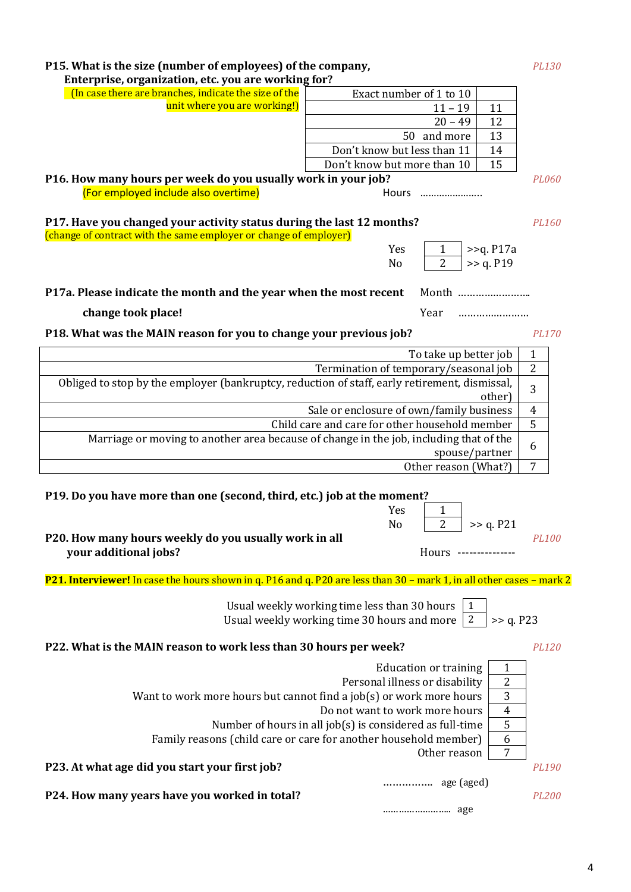| P15. What is the size (number of employees) of the company,<br>Enterprise, organization, etc. you are working for?                         |                                                                                                                    |  |  |  |  |  |
|--------------------------------------------------------------------------------------------------------------------------------------------|--------------------------------------------------------------------------------------------------------------------|--|--|--|--|--|
| (In case there are branches, indicate the size of the                                                                                      | Exact number of 1 to 10                                                                                            |  |  |  |  |  |
| unit where you are working!)                                                                                                               | $11 - 19$<br>11                                                                                                    |  |  |  |  |  |
|                                                                                                                                            | $20 - 49$<br>12                                                                                                    |  |  |  |  |  |
|                                                                                                                                            | 50 and more<br>13                                                                                                  |  |  |  |  |  |
|                                                                                                                                            | Don't know but less than 11<br>14                                                                                  |  |  |  |  |  |
|                                                                                                                                            | 15<br>Don't know but more than 10                                                                                  |  |  |  |  |  |
| P16. How many hours per week do you usually work in your job?<br>(For employed include also overtime)                                      | PL060<br>Hours                                                                                                     |  |  |  |  |  |
| P17. Have you changed your activity status during the last 12 months?<br>(change of contract with the same employer or change of employer) | PL160                                                                                                              |  |  |  |  |  |
|                                                                                                                                            | Yes<br>$>>q.$ P17a<br>$\overline{2}$<br>>> q. P19<br>N <sub>o</sub>                                                |  |  |  |  |  |
| P17a. Please indicate the month and the year when the most recent                                                                          | Month                                                                                                              |  |  |  |  |  |
| change took place!                                                                                                                         | Year                                                                                                               |  |  |  |  |  |
| P18. What was the MAIN reason for you to change your previous job?                                                                         | <b>PL170</b>                                                                                                       |  |  |  |  |  |
|                                                                                                                                            | To take up better job<br>1                                                                                         |  |  |  |  |  |
|                                                                                                                                            | Termination of temporary/seasonal job<br>$\overline{2}$                                                            |  |  |  |  |  |
| Obliged to stop by the employer (bankruptcy, reduction of staff, early retirement, dismissal,                                              | 3<br>other)                                                                                                        |  |  |  |  |  |
|                                                                                                                                            | Sale or enclosure of own/family business<br>$\overline{4}$                                                         |  |  |  |  |  |
| Marriage or moving to another area because of change in the job, including that of the                                                     | 5<br>Child care and care for other household member                                                                |  |  |  |  |  |
|                                                                                                                                            | 6<br>spouse/partner                                                                                                |  |  |  |  |  |
|                                                                                                                                            | $\overline{7}$<br>Other reason (What?)                                                                             |  |  |  |  |  |
|                                                                                                                                            |                                                                                                                    |  |  |  |  |  |
| P19. Do you have more than one (second, third, etc.) job at the moment?                                                                    |                                                                                                                    |  |  |  |  |  |
|                                                                                                                                            | Yes<br>1                                                                                                           |  |  |  |  |  |
|                                                                                                                                            | $\overline{2}$<br>N <sub>0</sub><br>>> q. P21                                                                      |  |  |  |  |  |
| P20. How many hours weekly do you usually work in all                                                                                      | <b>PL100</b>                                                                                                       |  |  |  |  |  |
| your additional jobs?                                                                                                                      | Hours ---------------                                                                                              |  |  |  |  |  |
| P21. Interviewer! In case the hours shown in q. P16 and q. P20 are less than 30 - mark 1, in all other cases - mark 2                      |                                                                                                                    |  |  |  |  |  |
|                                                                                                                                            | Usual weekly working time less than 30 hours<br>1<br>2<br>>> q. P23<br>Usual weekly working time 30 hours and more |  |  |  |  |  |
| P22. What is the MAIN reason to work less than 30 hours per week?                                                                          | <b>PL120</b>                                                                                                       |  |  |  |  |  |
|                                                                                                                                            | <b>Education or training</b><br>1                                                                                  |  |  |  |  |  |
|                                                                                                                                            | 2<br>Personal illness or disability                                                                                |  |  |  |  |  |
|                                                                                                                                            | 3<br>Want to work more hours but cannot find a job(s) or work more hours                                           |  |  |  |  |  |
|                                                                                                                                            | Do not want to work more hours<br>$\overline{4}$                                                                   |  |  |  |  |  |
|                                                                                                                                            | 5<br>Number of hours in all job(s) is considered as full-time                                                      |  |  |  |  |  |
|                                                                                                                                            | Family reasons (child care or care for another household member)<br>6                                              |  |  |  |  |  |
|                                                                                                                                            | 7<br>Other reason                                                                                                  |  |  |  |  |  |
| P23. At what age did you start your first job?                                                                                             | <b>PL190</b>                                                                                                       |  |  |  |  |  |
| P24. How many years have you worked in total?                                                                                              | <b>PL200</b>                                                                                                       |  |  |  |  |  |
|                                                                                                                                            |                                                                                                                    |  |  |  |  |  |

4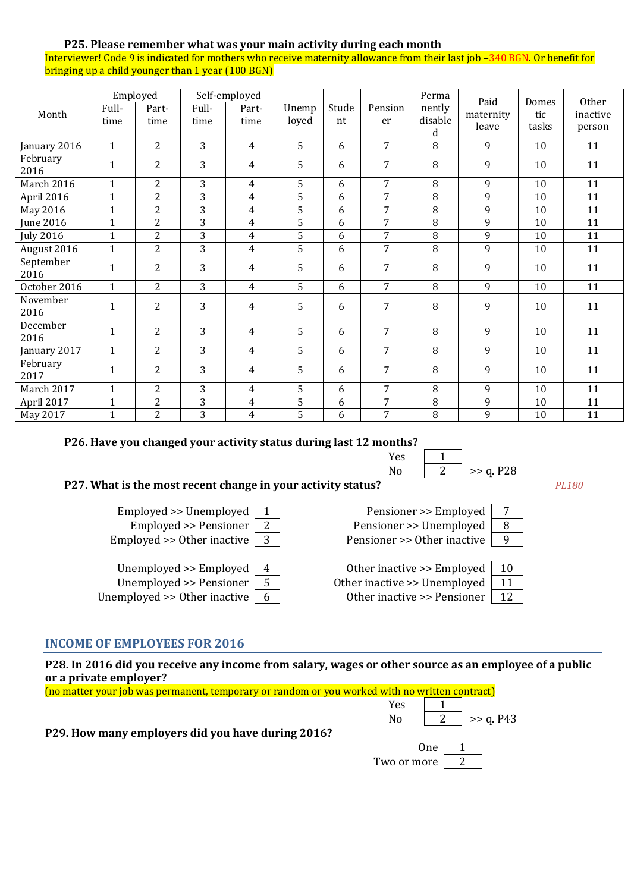### **P25. Please remember what was your main activity during each month**

Interviewer! Code 9 is indicated for mothers who receive maternity allowance from their last job –340 BGN. Or benefit for bringing up a child younger than 1 year (100 BGN)

| Month             | Full-<br>time | Employed<br>Part-<br>time | Full-<br>time  | Self-employed<br>Part-<br>time | Unemp<br>loyed | Stude<br>nt | Pension<br>er  | Perma<br>nently<br>disable | Paid<br>maternity | Domes<br>tic | Other<br>inactive |
|-------------------|---------------|---------------------------|----------------|--------------------------------|----------------|-------------|----------------|----------------------------|-------------------|--------------|-------------------|
|                   |               |                           |                |                                |                |             |                | d                          | leave             | tasks        | person            |
| January 2016      | $\mathbf{1}$  | $\overline{2}$            | 3              | $\overline{4}$                 | 5              | 6           | 7              | 8                          | 9                 | 10           | 11                |
| February<br>2016  | $\mathbf{1}$  | $\overline{c}$            | 3              | 4                              | 5              | 6           | 7              | 8                          | 9                 | 10           | 11                |
| March 2016        | $\mathbf{1}$  | $\overline{c}$            | 3              | $\overline{4}$                 | 5              | 6           | 7              | 8                          | 9                 | 10           | 11                |
| April 2016        | $\mathbf{1}$  | $\overline{2}$            | 3              | 4                              | 5              | 6           | 7              | 8                          | 9                 | 10           | 11                |
| May 2016          | $\mathbf{1}$  | $\overline{2}$            | 3              | 4                              | 5              | 6           | 7              | 8                          | 9                 | 10           | 11                |
| <b>June 2016</b>  | $\mathbf{1}$  | $\overline{2}$            | 3              | $\overline{4}$                 | 5              | 6           | 7              | 8                          | 9                 | 10           | 11                |
| <b>July 2016</b>  | $\mathbf{1}$  | $\overline{2}$            | 3              | 4                              | 5              | 6           | $\overline{7}$ | 8                          | 9                 | 10           | 11                |
| August 2016       | $\mathbf{1}$  | $\overline{2}$            | 3              | $\overline{4}$                 | 5              | 6           | 7              | 8                          | 9                 | 10           | 11                |
| September<br>2016 | 1             | $\overline{2}$            | 3              | $\overline{4}$                 | 5              | 6           | 7              | 8                          | 9                 | 10           | 11                |
| October 2016      | $\mathbf{1}$  | $\overline{2}$            | 3              | $\overline{4}$                 | 5              | 6           | 7              | 8                          | 9                 | 10           | 11                |
| November<br>2016  | $\mathbf{1}$  | $\overline{2}$            | 3              | 4                              | 5              | 6           | 7              | 8                          | 9                 | 10           | 11                |
| December<br>2016  | $\mathbf{1}$  | $\overline{2}$            | 3              | 4                              | 5              | 6           | 7              | 8                          | 9                 | 10           | 11                |
| January 2017      | $\mathbf{1}$  | $\overline{2}$            | $\overline{3}$ | $\overline{4}$                 | 5              | 6           | $\overline{7}$ | 8                          | 9                 | 10           | 11                |
| February<br>2017  | $\mathbf{1}$  | $\overline{c}$            | 3              | 4                              | 5              | 6           | $\overline{7}$ | 8                          | 9                 | 10           | 11                |
| March 2017        | $\mathbf{1}$  | 2                         | 3              | 4                              | 5              | 6           | 7              | 8                          | 9                 | 10           | 11                |
| April 2017        | $\mathbf{1}$  | $\overline{c}$            | 3              | $\overline{4}$                 | 5              | 6           | 7              | $\, 8$                     | 9                 | 10           | 11                |
| May 2017          | $\mathbf{1}$  | $\overline{2}$            | 3              | $\overline{4}$                 | 5              | 6           | 7              | 8                          | 9                 | 10           | 11                |

#### **P26. Have you changed your activity status during last 12 months?**

| Yes |           |
|-----|-----------|
| N٥  | >> q. P28 |

# **P27. What is the most recent change in your activity status?** *PL180*

| Unemployed >> Employed             |  |
|------------------------------------|--|
| Unemployed $\ge$ Pensioner $\vert$ |  |
| nemployed >> 0ther inactive        |  |



| Unemployed $\ge$ Employed   4    |    | Other inactive $\ge$ Employed   10    |    |
|----------------------------------|----|---------------------------------------|----|
| Unemployed $\geq$ Pensioner      | 5  | Other inactive $\geq$ Unemployed   11 |    |
| Unemployed $\geq$ Other inactive | -6 | Other inactive $\geq$ Pensioner       | 12 |

#### **INCOME OF EMPLOYEES FOR 2016**

**P28. In 2016 did you receive any income from salary, wages or other source as an employee of a public or a private employer?**

| (no matter your job was permanent, temporary or random or you worked with no written contract) |                |     |             |
|------------------------------------------------------------------------------------------------|----------------|-----|-------------|
|                                                                                                | Yes            |     |             |
|                                                                                                | N <sub>0</sub> |     | $>>$ q. P43 |
| P29. How many employers did you have during 2016?                                              |                |     |             |
|                                                                                                |                | 0ne |             |
|                                                                                                | Two or more    |     |             |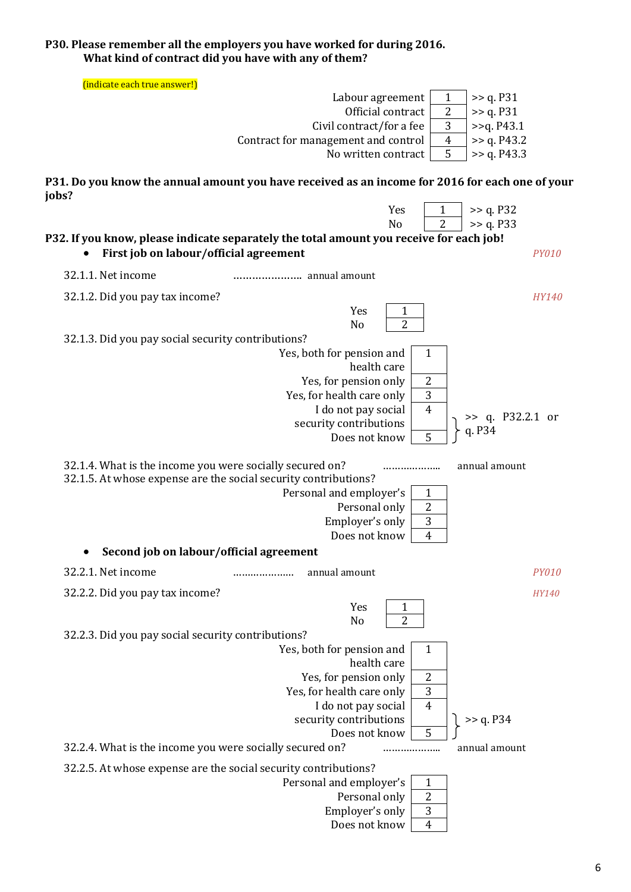### **P30. Please remember all the employers you have worked for during 2016. What kind of contract did you have with any of them?**

(indicate each true answer!)

| muitate catif und answer : j                                                                                                                                           |                                                                                                                                |                               |
|------------------------------------------------------------------------------------------------------------------------------------------------------------------------|--------------------------------------------------------------------------------------------------------------------------------|-------------------------------|
|                                                                                                                                                                        | Labour agreement<br>1                                                                                                          | >> q. P31                     |
|                                                                                                                                                                        | $\overline{2}$<br>Official contract                                                                                            | >> q. P31                     |
|                                                                                                                                                                        | 3<br>Civil contract/for a fee                                                                                                  | >>q. P43.1                    |
|                                                                                                                                                                        | Contract for management and control<br>$\overline{4}$                                                                          | >> q. P43.2                   |
|                                                                                                                                                                        | 5<br>No written contract                                                                                                       | >> q. P43.3                   |
| jobs?                                                                                                                                                                  | P31. Do you know the annual amount you have received as an income for 2016 for each one of your                                |                               |
|                                                                                                                                                                        | Yes<br>1                                                                                                                       | >> q. P32                     |
|                                                                                                                                                                        | 2<br>N <sub>o</sub>                                                                                                            | >> q. P33                     |
| First job on labour/official agreement                                                                                                                                 | P32. If you know, please indicate separately the total amount you receive for each job!                                        | <b>PY010</b>                  |
| 32.1.1. Net income                                                                                                                                                     |                                                                                                                                |                               |
| 32.1.2. Did you pay tax income?                                                                                                                                        |                                                                                                                                | <b>HY140</b>                  |
|                                                                                                                                                                        | Yes<br>1                                                                                                                       |                               |
|                                                                                                                                                                        | $\overline{2}$<br>N <sub>o</sub>                                                                                               |                               |
| 32.1.3. Did you pay social security contributions?                                                                                                                     |                                                                                                                                |                               |
|                                                                                                                                                                        | Yes, both for pension and<br>1                                                                                                 |                               |
|                                                                                                                                                                        | health care                                                                                                                    |                               |
|                                                                                                                                                                        | $\boldsymbol{2}$<br>Yes, for pension only                                                                                      |                               |
|                                                                                                                                                                        | 3<br>Yes, for health care only                                                                                                 |                               |
|                                                                                                                                                                        | $\overline{4}$<br>I do not pay social                                                                                          |                               |
|                                                                                                                                                                        | security contributions                                                                                                         | $\gg$ q. P32.2.1 or<br>q. P34 |
|                                                                                                                                                                        | 5<br>Does not know                                                                                                             |                               |
|                                                                                                                                                                        |                                                                                                                                |                               |
| 32.1.4. What is the income you were socially secured on?<br>32.1.5. At whose expense are the social security contributions?<br>Second job on labour/official agreement | <br>Personal and employer's<br>$\mathbf{1}$<br>$\boldsymbol{2}$<br>Personal only<br>3<br>Employer's only<br>Does not know<br>4 | annual amount                 |
| 32.2.1. Net income                                                                                                                                                     | annual amount<br>                                                                                                              | <b>PY010</b>                  |
|                                                                                                                                                                        |                                                                                                                                |                               |
| 32.2.2. Did you pay tax income?                                                                                                                                        | Yes                                                                                                                            | HY140                         |
|                                                                                                                                                                        | $\mathbf{1}$<br>$\overline{2}$                                                                                                 |                               |
|                                                                                                                                                                        | No                                                                                                                             |                               |
| 32.2.3. Did you pay social security contributions?                                                                                                                     | Yes, both for pension and<br>1                                                                                                 |                               |
|                                                                                                                                                                        | health care                                                                                                                    |                               |
|                                                                                                                                                                        | $\boldsymbol{2}$<br>Yes, for pension only                                                                                      |                               |
|                                                                                                                                                                        | 3<br>Yes, for health care only                                                                                                 |                               |
|                                                                                                                                                                        | I do not pay social<br>$\overline{4}$                                                                                          |                               |
|                                                                                                                                                                        | security contributions                                                                                                         | >> q. P34                     |
|                                                                                                                                                                        | 5<br>Does not know                                                                                                             |                               |
| 32.2.4. What is the income you were socially secured on?                                                                                                               | .                                                                                                                              | annual amount                 |
| 32.2.5. At whose expense are the social security contributions?                                                                                                        |                                                                                                                                |                               |
|                                                                                                                                                                        | Personal and employer's<br>1                                                                                                   |                               |
|                                                                                                                                                                        | $\overline{2}$<br>Personal only                                                                                                |                               |
|                                                                                                                                                                        | $\overline{3}$<br>Employer's only<br>Does not know<br>$\overline{4}$                                                           |                               |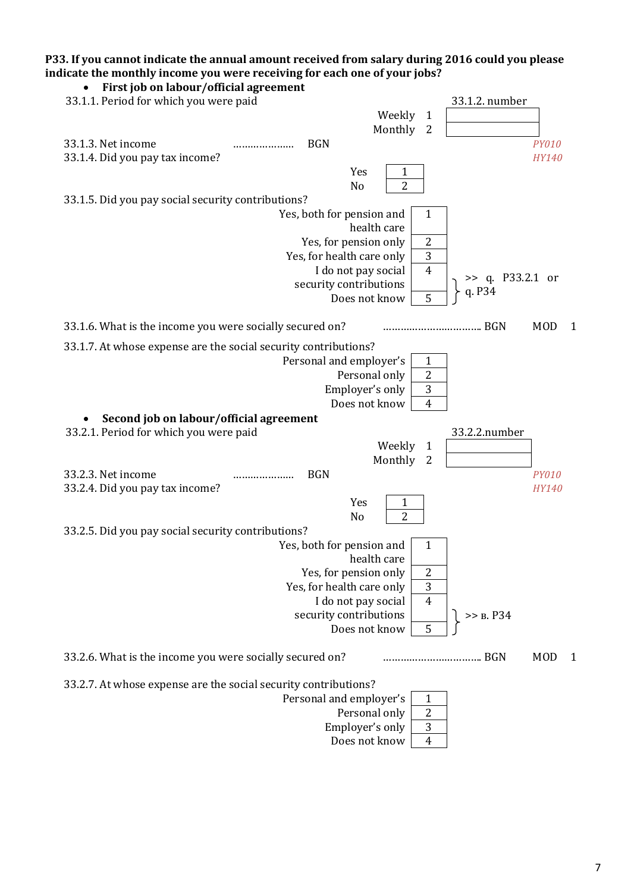# **P33. If you cannot indicate the annual amount received from salary during 2016 could you please indicate the monthly income you were receiving for each one of your jobs?**

| First job on labour/official agreement                          |                  |
|-----------------------------------------------------------------|------------------|
| 33.1.1. Period for which you were paid                          | 33.1.2. number   |
| Weekly<br>$\mathbf{1}$                                          |                  |
| Monthly<br>$\overline{2}$                                       |                  |
| 33.1.3. Net income<br><b>BGN</b><br>                            | <b>PY010</b>     |
| 33.1.4. Did you pay tax income?                                 | HY140            |
| Yes<br>1                                                        |                  |
| $\overline{2}$<br>N <sub>o</sub>                                |                  |
| 33.1.5. Did you pay social security contributions?              |                  |
| Yes, both for pension and<br>1                                  |                  |
| health care                                                     |                  |
| $\overline{2}$<br>Yes, for pension only                         |                  |
| 3<br>Yes, for health care only                                  |                  |
| I do not pay social<br>$\overline{4}$                           |                  |
| security contributions                                          | >> q. P33.2.1 or |
| 5<br>Does not know                                              | q. P34           |
|                                                                 |                  |
| 33.1.6. What is the income you were socially secured on?<br>BGN | <b>MOD</b><br>1  |
| 33.1.7. At whose expense are the social security contributions? |                  |
| Personal and employer's<br>1                                    |                  |
| 2<br>Personal only                                              |                  |
| 3<br>Employer's only                                            |                  |
| $\overline{4}$<br>Does not know                                 |                  |
| Second job on labour/official agreement                         |                  |
|                                                                 |                  |
|                                                                 |                  |
| 33.2.1. Period for which you were paid                          | 33.2.2.number    |
| Weekly<br>$\mathbf{1}$                                          |                  |
| Monthly<br>2                                                    |                  |
| 33.2.3. Net income<br><b>BGN</b><br>                            | <b>PY010</b>     |
| 33.2.4. Did you pay tax income?                                 | HY140            |
| Yes<br>1                                                        |                  |
| 2<br>N <sub>o</sub>                                             |                  |
| 33.2.5. Did you pay social security contributions?              |                  |
| Yes, both for pension and<br>1                                  |                  |
| health care                                                     |                  |
| 2<br>Yes, for pension only                                      |                  |
| 3<br>Yes, for health care only                                  |                  |
| I do not pay social<br>$\overline{4}$                           |                  |
| security contributions                                          | >> B. P34        |
| Does not know<br>5                                              |                  |
| 33.2.6. What is the income you were socially secured on?<br>BGN | <b>MOD</b><br>1  |
|                                                                 |                  |
| 33.2.7. At whose expense are the social security contributions? |                  |
| Personal and employer's<br>1                                    |                  |
| Personal only<br>$\overline{c}$                                 |                  |
| Employer's only<br>3<br>Does not know<br>$\overline{4}$         |                  |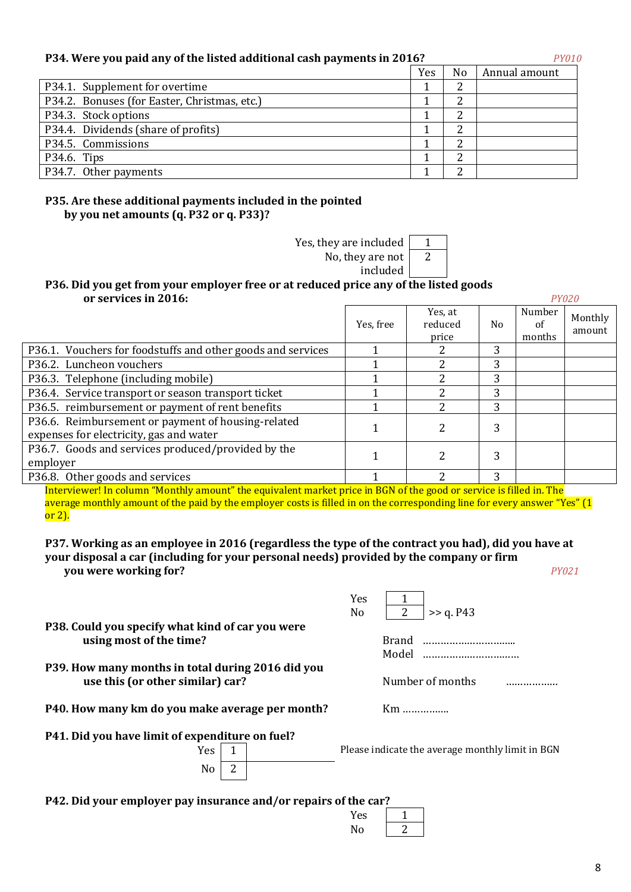# **P34. Were you paid any of the listed additional cash payments in 2016?** *PY010*

|                                              | Yes | N <sub>o</sub> | Annual amount |
|----------------------------------------------|-----|----------------|---------------|
| P34.1. Supplement for overtime               |     |                |               |
| P34.2. Bonuses (for Easter, Christmas, etc.) |     |                |               |
| P34.3. Stock options                         |     |                |               |
| P34.4. Dividends (share of profits)          |     | ◠              |               |
| P34.5. Commissions                           |     |                |               |
| P34.6. Tips                                  |     | ◠              |               |
| P34.7. Other payments                        |     |                |               |
|                                              |     |                |               |

# **P35. Are these additional payments included in the pointed by you net amounts (q. Р32 or q. Р33)?**

Yes, they are included

No, they are not 2

#### included **Р36. Did you get from your employer free or at reduced price any of the listed goods or services in 2016:** *PY020*

|                                                                                               | Yes, free | Yes, at<br>reduced<br>price | No. | Number<br>of<br>months | Monthly<br>amount |
|-----------------------------------------------------------------------------------------------|-----------|-----------------------------|-----|------------------------|-------------------|
| P36.1. Vouchers for foodstuffs and other goods and services                                   |           |                             | 3   |                        |                   |
| P36.2. Luncheon vouchers                                                                      |           |                             | 3   |                        |                   |
| P36.3. Telephone (including mobile)                                                           |           |                             | 3   |                        |                   |
| P36.4. Service transport or season transport ticket                                           |           |                             | 3   |                        |                   |
| P36.5. reimbursement or payment of rent benefits                                              |           |                             | 3   |                        |                   |
| P36.6. Reimbursement or payment of housing-related<br>expenses for electricity, gas and water |           |                             | 3   |                        |                   |
| P36.7. Goods and services produced/provided by the<br>employer                                |           | 2                           | 3   |                        |                   |
| P36.8. Other goods and services                                                               |           |                             | 3   |                        |                   |

Interviewer! In column "Monthly amount" the equivalent market price in BGN of the good or service is filled in. The average monthly amount of the paid by the employer costs is filled in on the corresponding line for every answer "Yes" (1 or 2).

#### **P37. Working as an employee in 2016 (regardless the type of the contract you had), did you have at your disposal a car (including for your personal needs) provided by the company or firm you were working for?** *PY021*

Yes 1

No  $\boxed{2}$  >> a. P43

| P38. Could you specify what kind of car you were |  |
|--------------------------------------------------|--|
| using most of the time?                          |  |

- **P39. How many months in total during 2016 did you use this (or other similar) car?** Number of months *mumber* of months *mumber* of months *mummum*
- **P40. How many km do you make average per month?** Km ……………….
- **Р41. Did you have limit of expenditure on fuel?**

| ١<br>PS |  |
|---------|--|
| N.<br>O |  |

 $Yes \boxed{1}$  Please indicate the average monthly limit in BGN

**using most of the time?** Brand ………………………….. Model ……………………………

**Р42. Did your employer pay insurance and/or repairs of the car?** 

| Yes |  |
|-----|--|
| Nο  |  |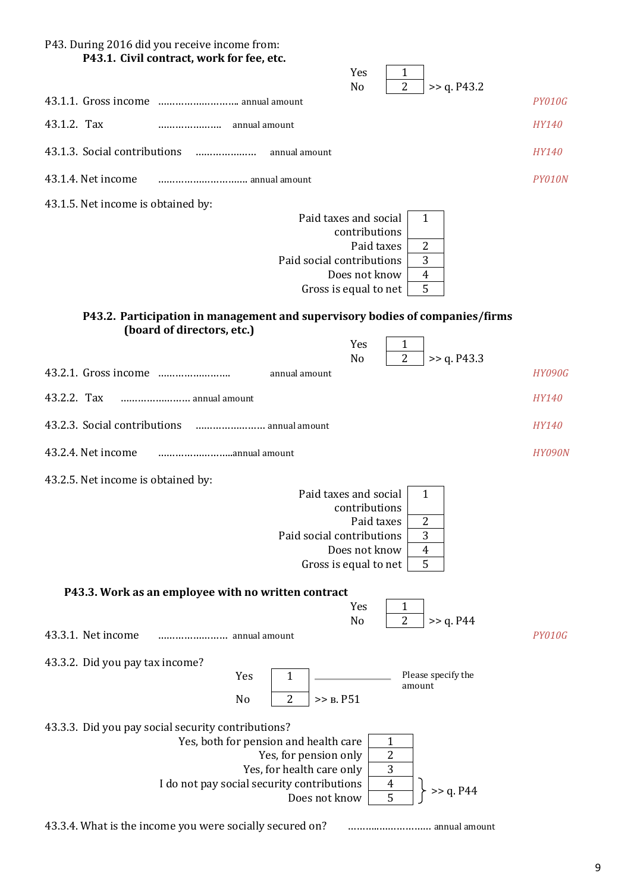| P43. During 2016 did you receive income from:<br>P43.1. Civil contract, work for fee, etc.                                                                                                                           |               |
|----------------------------------------------------------------------------------------------------------------------------------------------------------------------------------------------------------------------|---------------|
| Yes<br>1<br>$\overline{2}$<br>N <sub>o</sub><br>>> q. P43.2                                                                                                                                                          |               |
|                                                                                                                                                                                                                      | <b>PY010G</b> |
| 43.1.2. Tax                                                                                                                                                                                                          | HY140         |
| 43.1.3. Social contributions<br>annual amount                                                                                                                                                                        | HY140         |
| 43.1.4. Net income<br>annual amount                                                                                                                                                                                  | PY010N        |
| 43.1.5. Net income is obtained by:<br>Paid taxes and social<br>1<br>contributions<br>Paid taxes<br>$\overline{2}$<br>3<br>Paid social contributions<br>Does not know<br>$\overline{4}$<br>5<br>Gross is equal to net |               |
| P43.2. Participation in management and supervisory bodies of companies/firms<br>(board of directors, etc.)<br>Yes<br>1                                                                                               |               |
| $\overline{2}$<br>>> q. P43.3<br>N <sub>o</sub><br>annual amount                                                                                                                                                     | <b>HY090G</b> |
| 43.2.2. Tax<br>annual amount                                                                                                                                                                                         | HY140         |
| 43.2.3. Social contributions<br>annual amount                                                                                                                                                                        | <b>HY140</b>  |
| 43.2.4. Net income                                                                                                                                                                                                   | <b>HY090N</b> |
| 43.2.5. Net income is obtained by:<br>Paid taxes and social<br>1<br>contributions<br>Paid taxes<br>2<br>3<br>Paid social contributions<br>$\overline{4}$<br>Does not know<br>5<br>Gross is equal to net              |               |
| P43.3. Work as an employee with no written contract<br>Yes<br>1<br>$\overline{2}$<br>>> q. P44<br>N <sub>0</sub>                                                                                                     |               |
| 43.3.1. Net income<br>annual amount                                                                                                                                                                                  | PY010G        |
| 43.3.2. Did you pay tax income?<br>Please specify the<br>Yes<br>1<br>amount<br>$\overline{2}$<br>N <sub>0</sub><br>>> B. P51<br>43.3.3. Did you pay social security contributions?                                   |               |
|                                                                                                                                                                                                                      |               |



43.3.4. What is the income you were socially secured on? ………..……………… annual amount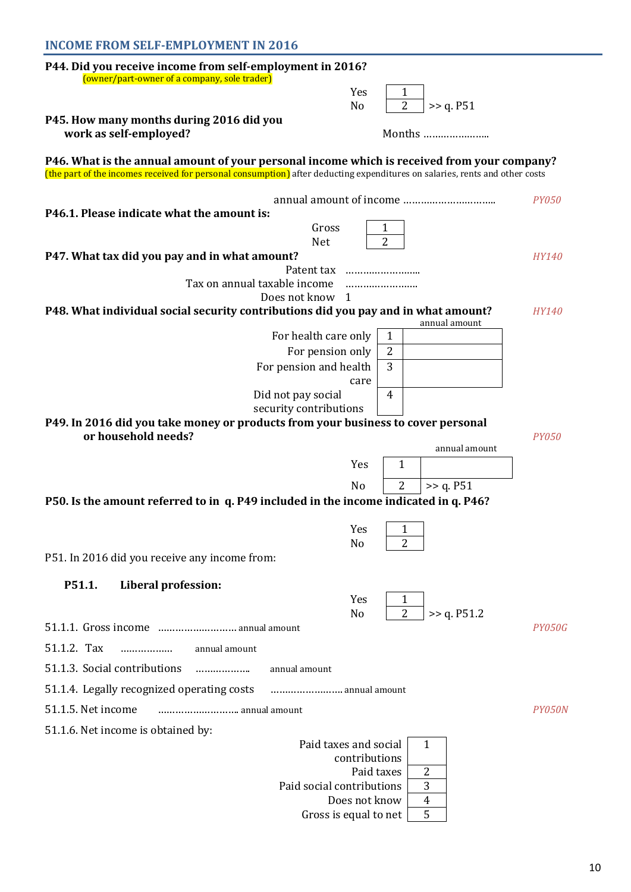| <b>INCOME FROM SELF-EMPLOYMENT IN 2016</b>                                                                                                                                                                                 |               |
|----------------------------------------------------------------------------------------------------------------------------------------------------------------------------------------------------------------------------|---------------|
| P44. Did you receive income from self-employment in 2016?<br>(owner/part-owner of a company, sole trader)                                                                                                                  |               |
| Yes<br>$\mathbf{1}$                                                                                                                                                                                                        |               |
| $\overline{2}$<br>No<br>>> q. P51                                                                                                                                                                                          |               |
| P45. How many months during 2016 did you<br>work as self-employed?<br>Months                                                                                                                                               |               |
| P46. What is the annual amount of your personal income which is received from your company?<br>(the part of the incomes received for personal consumption) after deducting expenditures on salaries, rents and other costs |               |
|                                                                                                                                                                                                                            | <b>PY050</b>  |
| P46.1. Please indicate what the amount is:                                                                                                                                                                                 |               |
| Gross<br>$\mathbf{1}$                                                                                                                                                                                                      |               |
| $\overline{2}$<br><b>Net</b>                                                                                                                                                                                               |               |
| P47. What tax did you pay and in what amount?                                                                                                                                                                              | <i>HY140</i>  |
| Patent tax<br>Tax on annual taxable income                                                                                                                                                                                 |               |
| Does not know 1                                                                                                                                                                                                            |               |
| P48. What individual social security contributions did you pay and in what amount?<br>annual amount                                                                                                                        | <b>HY140</b>  |
| For health care only<br>1                                                                                                                                                                                                  |               |
| $\overline{2}$<br>For pension only                                                                                                                                                                                         |               |
| 3<br>For pension and health                                                                                                                                                                                                |               |
| care                                                                                                                                                                                                                       |               |
| Did not pay social<br>4                                                                                                                                                                                                    |               |
| security contributions<br>P49. In 2016 did you take money or products from your business to cover personal                                                                                                                 |               |
| or household needs?                                                                                                                                                                                                        | <b>PY050</b>  |
| annual amount                                                                                                                                                                                                              |               |
| Yes<br>1                                                                                                                                                                                                                   |               |
| >> q. P51<br>2<br>N <sub>0</sub>                                                                                                                                                                                           |               |
| P50. Is the amount referred to in q. P49 included in the income indicated in q. P46?                                                                                                                                       |               |
|                                                                                                                                                                                                                            |               |
| Yes<br>1                                                                                                                                                                                                                   |               |
| $\overline{2}$<br>No                                                                                                                                                                                                       |               |
| P51. In 2016 did you receive any income from:                                                                                                                                                                              |               |
| P51.1.<br>Liberal profession:                                                                                                                                                                                              |               |
| Yes<br>1                                                                                                                                                                                                                   |               |
| $\overline{2}$<br>>> q. P51.2<br>No                                                                                                                                                                                        |               |
|                                                                                                                                                                                                                            | PY050G        |
| 51.1.2. Tax<br>.<br>annual amount                                                                                                                                                                                          |               |
| 51.1.3. Social contributions<br>annual amount<br>.                                                                                                                                                                         |               |
| 51.1.4. Legally recognized operating costs<br>annual amount                                                                                                                                                                |               |
| 51.1.5. Net income<br>annual amount                                                                                                                                                                                        | <i>PY050N</i> |
| 51.1.6. Net income is obtained by:                                                                                                                                                                                         |               |
| Paid taxes and social<br>1                                                                                                                                                                                                 |               |
| contributions                                                                                                                                                                                                              |               |
| Paid taxes<br>2                                                                                                                                                                                                            |               |
| 3<br>Paid social contributions<br>$\overline{4}$<br>Does not know                                                                                                                                                          |               |
| 5<br>Gross is equal to net                                                                                                                                                                                                 |               |
|                                                                                                                                                                                                                            |               |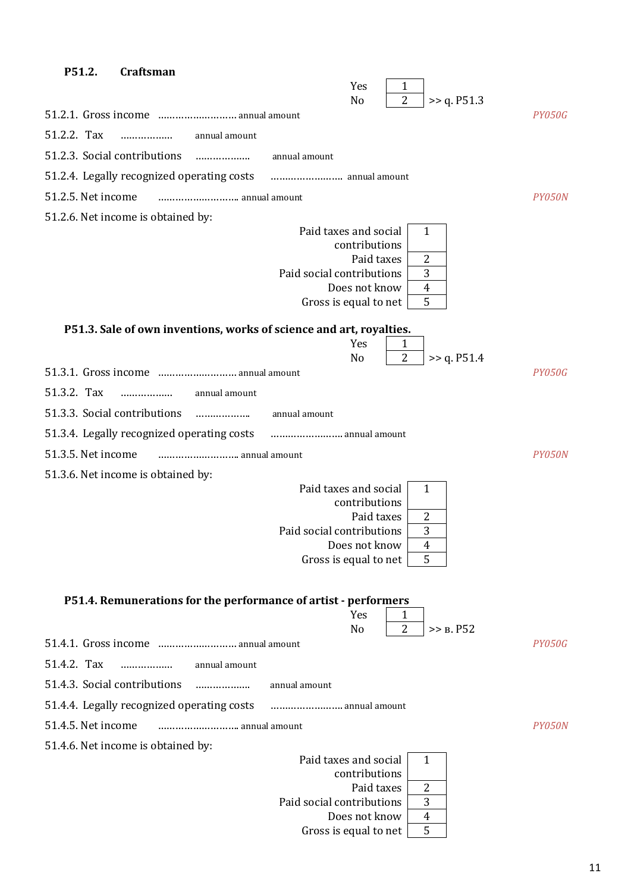| P51.2.             | <b>Craftsman</b>                                                    |               |                                                                             |                                              |                                                            |             |               |
|--------------------|---------------------------------------------------------------------|---------------|-----------------------------------------------------------------------------|----------------------------------------------|------------------------------------------------------------|-------------|---------------|
|                    |                                                                     |               |                                                                             | Yes<br>N <sub>o</sub>                        | 1<br>$\overline{2}$                                        | >> q. P51.3 |               |
|                    |                                                                     |               |                                                                             |                                              |                                                            |             | <b>PY050G</b> |
| 51.2.2. Tax        | .                                                                   | annual amount |                                                                             |                                              |                                                            |             |               |
|                    | 51.2.3. Social contributions                                        | .             | annual amount                                                               |                                              |                                                            |             |               |
|                    | 51.2.4. Legally recognized operating costs                          |               |                                                                             |                                              |                                                            |             |               |
| 51.2.5. Net income |                                                                     |               |                                                                             |                                              |                                                            |             | PY050N        |
|                    | 51.2.6. Net income is obtained by:                                  |               |                                                                             |                                              |                                                            |             |               |
|                    |                                                                     |               | Paid taxes and social<br>Paid social contributions<br>Gross is equal to net | contributions<br>Paid taxes<br>Does not know | $\mathbf{1}$<br>$\overline{2}$<br>3<br>$\overline{4}$<br>5 |             |               |
|                    | P51.3. Sale of own inventions, works of science and art, royalties. |               |                                                                             |                                              |                                                            |             |               |
|                    |                                                                     |               |                                                                             | Yes<br>N <sub>o</sub>                        | $\mathbf{1}$<br>$\overline{2}$                             | >> q. P51.4 |               |
|                    |                                                                     |               |                                                                             |                                              |                                                            |             | <b>PY050G</b> |
| 51.3.2. Tax        | .                                                                   | annual amount |                                                                             |                                              |                                                            |             |               |
|                    | 51.3.3. Social contributions                                        |               | annual amount                                                               |                                              |                                                            |             |               |
|                    | 51.3.4. Legally recognized operating costs                          |               | annual amount                                                               |                                              |                                                            |             |               |
| 51.3.5. Net income |                                                                     | annual amount |                                                                             |                                              |                                                            |             | PY050N        |
|                    | 51.3.6. Net income is obtained by:                                  |               |                                                                             |                                              |                                                            |             |               |
|                    |                                                                     |               | Paid taxes and social                                                       | contributions                                | $\mathbf{1}$                                               |             |               |
|                    |                                                                     |               |                                                                             | Paid taxes                                   | $\overline{2}$                                             |             |               |
|                    |                                                                     |               | Paid social contributions                                                   | Does not know                                | 3<br>4                                                     |             |               |
|                    |                                                                     |               | Gross is equal to net                                                       |                                              | 5                                                          |             |               |
|                    | P51.4. Remunerations for the performance of artist - performers     |               |                                                                             | Yes<br>N <sub>o</sub>                        | 1<br>$\overline{2}$                                        | >> B. P52   |               |
|                    | 51.4.1. Gross income  annual amount                                 |               |                                                                             |                                              |                                                            |             | <b>PY050G</b> |
| 51.4.2. Tax        | .                                                                   | annual amount |                                                                             |                                              |                                                            |             |               |
|                    | 51.4.3. Social contributions                                        |               | annual amount                                                               |                                              |                                                            |             |               |
|                    | 51.4.4. Legally recognized operating costs                          |               | annual amount                                                               |                                              |                                                            |             |               |
| 51.4.5. Net income |                                                                     | annual amount |                                                                             |                                              |                                                            |             | PY050N        |
|                    | 51.4.6. Net income is obtained by:                                  |               |                                                                             |                                              |                                                            |             |               |
|                    |                                                                     |               | Paid taxes and social                                                       | contributions                                | $\mathbf{1}$                                               |             |               |
|                    |                                                                     |               |                                                                             | Paid taxes                                   | 2                                                          |             |               |
|                    |                                                                     |               | Paid social contributions                                                   | Does not know                                | 3<br>$\overline{4}$                                        |             |               |
|                    |                                                                     |               | Gross is equal to net                                                       |                                              | 5                                                          |             |               |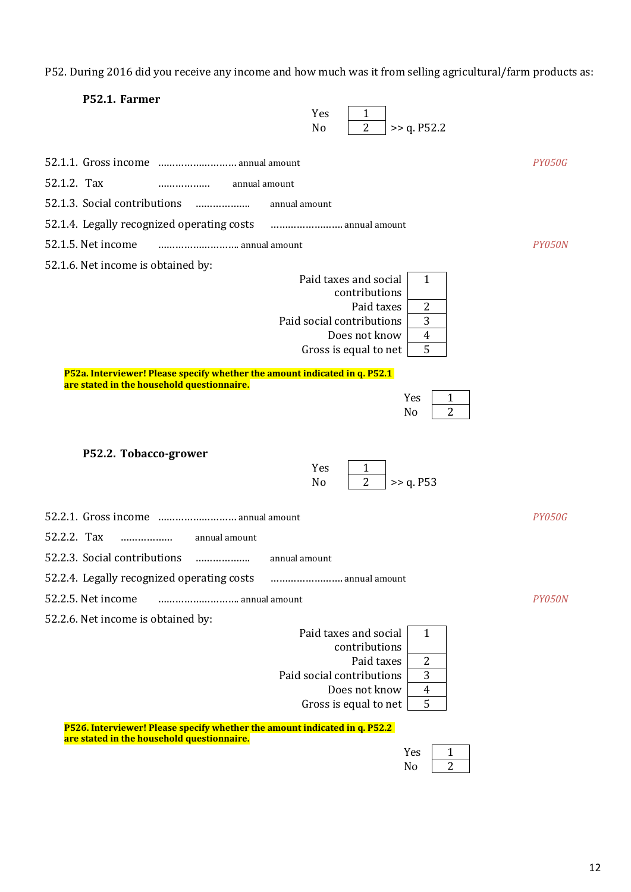P52. During 2016 did you receive any income and how much was it from selling agricultural/farm products as:

| P52.1. Farmer<br>Yes<br>1<br>$\overline{2}$<br>>> q. P52.2<br>No                                                                                                                      |               |
|---------------------------------------------------------------------------------------------------------------------------------------------------------------------------------------|---------------|
|                                                                                                                                                                                       | PY050G        |
| 52.1.2. Tax<br>annual amount<br>.                                                                                                                                                     |               |
| 52.1.3. Social contributions<br>.<br>annual amount                                                                                                                                    |               |
| 52.1.4. Legally recognized operating costs<br>annual amount                                                                                                                           |               |
| 52.1.5. Net income<br>annual amount                                                                                                                                                   | PY050N        |
| 52.1.6. Net income is obtained by:                                                                                                                                                    |               |
| Paid taxes and social<br>$\mathbf{1}$<br>contributions<br>Paid taxes<br>2<br>3<br>Paid social contributions<br>Does not know<br>$\overline{\mathbf{4}}$<br>5<br>Gross is equal to net |               |
| P52a. Interviewer! Please specify whether the amount indicated in q. P52.1<br>are stated in the household questionnaire.                                                              |               |
| Yes<br>1<br>$\overline{2}$<br>N <sub>o</sub>                                                                                                                                          |               |
| P52.2. Tobacco-grower<br>Yes<br>1<br>$\overline{2}$<br>>> q. P53<br>N <sub>o</sub>                                                                                                    |               |
| 52.2.1. Gross income  annual amount                                                                                                                                                   | <b>PY050G</b> |
| 52.2.2. Tax<br>annual amount<br>.                                                                                                                                                     |               |
| 52.2.3. Social contributions<br>annual amount<br>                                                                                                                                     |               |
| 52.2.4. Legally recognized operating costs<br>annual amount                                                                                                                           |               |
| 52.2.5. Net income<br>annual amount                                                                                                                                                   | PY050N        |
| 52.2.6. Net income is obtained by:                                                                                                                                                    |               |
| Paid taxes and social<br>1<br>contributions<br>Paid taxes<br>2<br>Paid social contributions<br>3<br>Does not know<br>4<br>5<br>Gross is equal to net                                  |               |
| P526. Interviewer! Please specify whether the amount indicated in q. P52.2<br>are stated in the household questionnaire.                                                              |               |

| es |  |
|----|--|
| -  |  |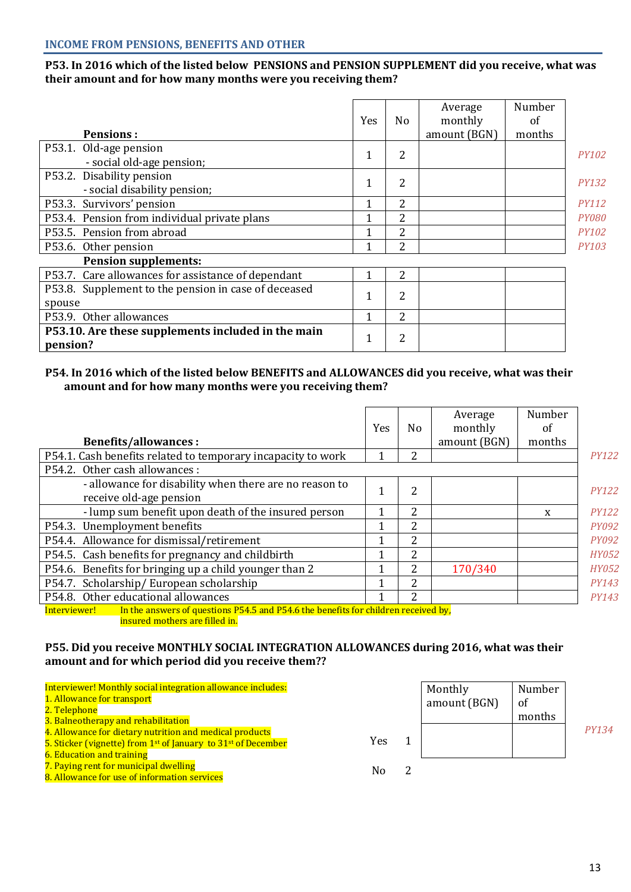# **Р53. In 2016 which of the listed below PENSIONS and PENSION SUPPLEMENT did you receive, what was their amount and for how many months were you receiving them?**

| <b>Pensions:</b>                                               | Yes          | N <sub>o</sub> | Average<br>monthly<br>amount (BGN) | Number<br>of<br>months |              |
|----------------------------------------------------------------|--------------|----------------|------------------------------------|------------------------|--------------|
| P53.1. Old-age pension                                         |              |                |                                    |                        |              |
| - social old-age pension;                                      | 1            | 2              |                                    |                        | <b>PY102</b> |
| P53.2. Disability pension                                      |              | 2              |                                    |                        |              |
| - social disability pension;                                   | 1            |                |                                    |                        | <b>PY132</b> |
| P53.3. Survivors' pension                                      | 1            | 2              |                                    |                        | <b>PY112</b> |
| P53.4. Pension from individual private plans                   |              | 2              |                                    |                        | <b>PY080</b> |
| P53.5. Pension from abroad                                     | ◀            | 2              |                                    |                        | <b>PY102</b> |
| P53.6. Other pension                                           |              | 2              |                                    |                        | <b>PY103</b> |
| <b>Pension supplements:</b>                                    |              |                |                                    |                        |              |
| P53.7. Care allowances for assistance of dependant             | 1            | 2              |                                    |                        |              |
| P53.8. Supplement to the pension in case of deceased           | 1            | 2              |                                    |                        |              |
| spouse                                                         |              |                |                                    |                        |              |
| P53.9. Other allowances                                        |              | 2              |                                    |                        |              |
| P53.10. Are these supplements included in the main<br>pension? | $\mathbf{1}$ | 2              |                                    |                        |              |

### **P54. In 2016 which of the listed below BENEFITS and ALLOWANCES did you receive, what was their amount and for how many months were you receiving them?**

| <b>Benefits/allowances:</b>                                                                        | <b>Yes</b> | N <sub>o</sub> | Average<br>monthly<br>amount (BGN) | Number<br>of<br>months |              |
|----------------------------------------------------------------------------------------------------|------------|----------------|------------------------------------|------------------------|--------------|
| P54.1. Cash benefits related to temporary incapacity to work                                       |            | 2              |                                    |                        | <b>PY122</b> |
| P54.2. Other cash allowances :                                                                     |            |                |                                    |                        |              |
| - allowance for disability when there are no reason to<br>receive old-age pension                  |            | $\overline{2}$ |                                    |                        | <b>PY122</b> |
| - lump sum benefit upon death of the insured person                                                |            | 2              |                                    | X                      | <b>PY122</b> |
| P54.3. Unemployment benefits                                                                       | 1          | 2              |                                    |                        | <i>PY092</i> |
| P54.4. Allowance for dismissal/retirement                                                          |            | 2              |                                    |                        | <i>PY092</i> |
| P54.5. Cash benefits for pregnancy and childbirth                                                  | 1          | 2              |                                    |                        | <b>HY052</b> |
| P54.6. Benefits for bringing up a child younger than 2                                             |            | 2              | 170/340                            |                        | <b>HY052</b> |
| P54.7. Scholarship/European scholarship                                                            | 1          | 2              |                                    |                        | <b>PY143</b> |
| P54.8. Other educational allowances                                                                | 1          | 2              |                                    |                        | <i>PY143</i> |
| In the answers of questions P54.5 and P54.6 the benefits for children received by,<br>Interviewer! |            |                |                                    |                        |              |
| insured mothers are filled in.                                                                     |            |                |                                    |                        |              |

# **P55. Did you receive MONTHLY SOCIAL INTEGRATION ALLOWANCES during 2016, what was their amount and for which period did you receive them??**

| Interviewer! Monthly social integration allowance includes:<br>1. Allowance for transport<br>2. Telephone                                        |     | Monthly<br>amount (BGN) | Number<br>of |       |
|--------------------------------------------------------------------------------------------------------------------------------------------------|-----|-------------------------|--------------|-------|
| 3. Balneotherapy and rehabilitation                                                                                                              |     |                         | months       |       |
| 4. Allowance for dietary nutrition and medical products<br>5. Sticker (vignette) from 1 <sup>st</sup> of January to 31 <sup>st</sup> of December | Yes |                         |              | PY134 |
| <b>6. Education and training</b>                                                                                                                 |     |                         |              |       |
| 7. Paying rent for municipal dwelling<br>8. Allowance for use of information services                                                            | No. |                         |              |       |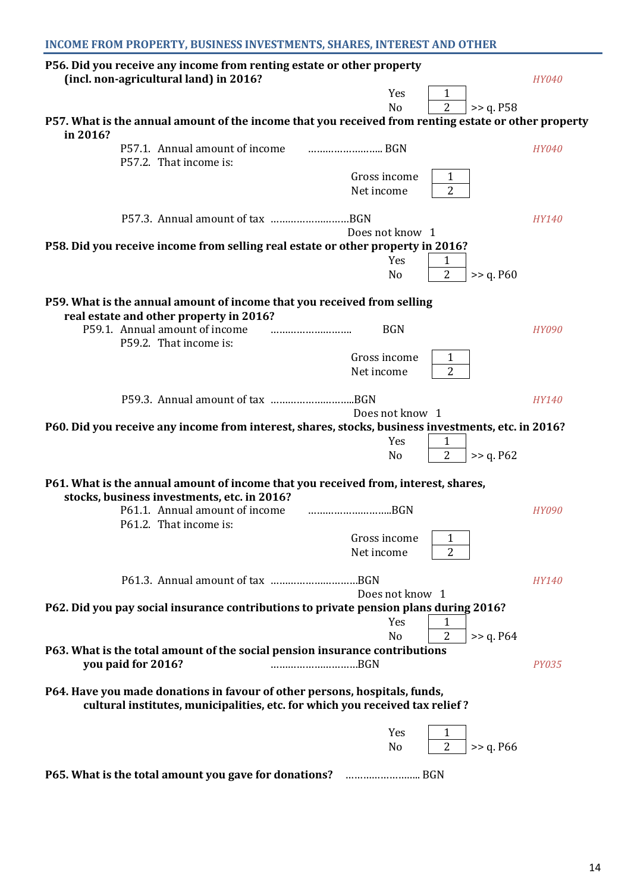| INCOME FROM PROPERTY, BUSINESS INVESTMENTS, SHARES, INTEREST AND OTHER |  |  |  |
|------------------------------------------------------------------------|--|--|--|
|------------------------------------------------------------------------|--|--|--|

| P56. Did you receive any income from renting estate or other property<br>(incl. non-agricultural land) in 2016?                                            |                                                              | <b>HY040</b> |
|------------------------------------------------------------------------------------------------------------------------------------------------------------|--------------------------------------------------------------|--------------|
|                                                                                                                                                            | Yes<br>1                                                     |              |
|                                                                                                                                                            | $\overline{2}$<br>>> q. P58<br>N <sub>o</sub>                |              |
| P57. What is the annual amount of the income that you received from renting estate or other property<br>in 2016?                                           |                                                              |              |
| P57.1. Annual amount of income<br>P57.2. That income is:                                                                                                   |                                                              | <b>HY040</b> |
|                                                                                                                                                            | Gross income<br>$\mathbf{1}$<br>$\overline{2}$<br>Net income |              |
|                                                                                                                                                            | Does not know 1                                              | <b>HY140</b> |
| P58. Did you receive income from selling real estate or other property in 2016?                                                                            |                                                              |              |
|                                                                                                                                                            | Yes<br>1<br>2<br>>> q. P60<br>N <sub>o</sub>                 |              |
| P59. What is the annual amount of income that you received from selling<br>real estate and other property in 2016?                                         |                                                              |              |
| P59.1. Annual amount of income<br><br>P59.2. That income is:                                                                                               | <b>BGN</b>                                                   | <b>HY090</b> |
|                                                                                                                                                            | Gross income<br>$\mathbf{1}$                                 |              |
|                                                                                                                                                            | $\overline{2}$<br>Net income                                 |              |
|                                                                                                                                                            | Does not know 1                                              | <b>HY140</b> |
| P60. Did you receive any income from interest, shares, stocks, business investments, etc. in 2016?                                                         |                                                              |              |
|                                                                                                                                                            | Yes<br>1<br>$\overline{2}$<br>No<br>>> q. P62                |              |
| P61. What is the annual amount of income that you received from, interest, shares,<br>stocks, business investments, etc. in 2016?                          |                                                              |              |
| P61.1. Annual amount of income<br>P61.2. That income is:                                                                                                   | BGN                                                          | <b>HY090</b> |
|                                                                                                                                                            | Gross income<br>1                                            |              |
|                                                                                                                                                            | $\overline{2}$<br>Net income                                 |              |
|                                                                                                                                                            | Does not know 1                                              | <b>HY140</b> |
| P62. Did you pay social insurance contributions to private pension plans during 2016?                                                                      |                                                              |              |
|                                                                                                                                                            | Yes<br>1                                                     |              |
| P63. What is the total amount of the social pension insurance contributions<br>you paid for 2016?<br>BGN                                                   | $\overline{2}$<br>N <sub>o</sub><br>>> q. P64                | <b>PY035</b> |
|                                                                                                                                                            |                                                              |              |
| P64. Have you made donations in favour of other persons, hospitals, funds,<br>cultural institutes, municipalities, etc. for which you received tax relief? |                                                              |              |
|                                                                                                                                                            | Yes<br>1                                                     |              |
|                                                                                                                                                            | $\overline{2}$<br>>> q. P66<br>No                            |              |
|                                                                                                                                                            |                                                              |              |

**P65. What is the total amount you gave for donations?** …………………….. BGN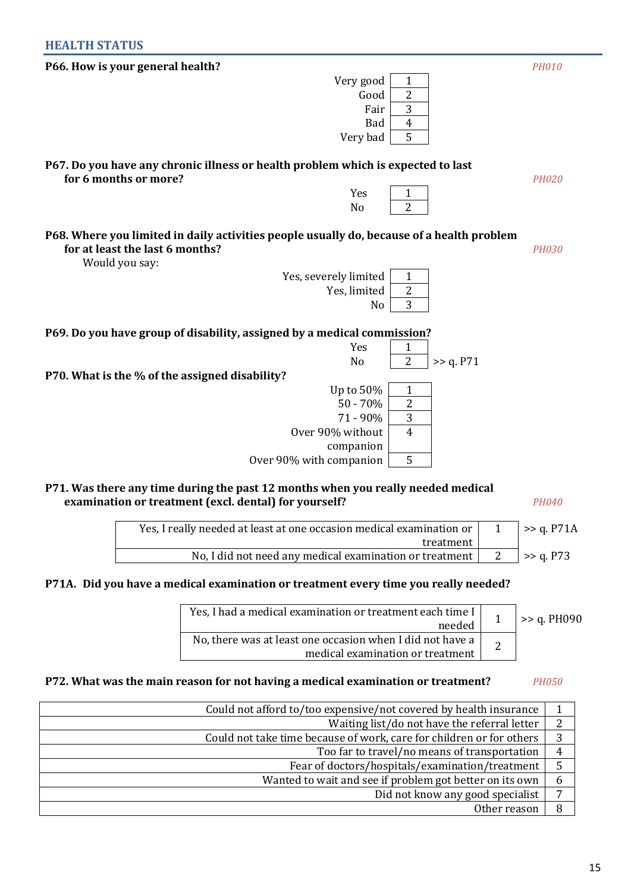# **HEALTH STATUS**

| vely good                                                                                                                                      | T              |           |              |
|------------------------------------------------------------------------------------------------------------------------------------------------|----------------|-----------|--------------|
| Good                                                                                                                                           | $\overline{2}$ |           |              |
| Fair                                                                                                                                           | 3              |           |              |
| <b>Bad</b>                                                                                                                                     | $\overline{4}$ |           |              |
| Very bad                                                                                                                                       | 5              |           |              |
| P67. Do you have any chronic illness or health problem which is expected to last<br>for 6 months or more?                                      |                |           | <b>PH020</b> |
| Yes                                                                                                                                            | 1              |           |              |
| No                                                                                                                                             | $\overline{2}$ |           |              |
| P68. Where you limited in daily activities people usually do, because of a health problem<br>for at least the last 6 months?<br>Would you say: |                |           | <b>PH030</b> |
| Yes, severely limited                                                                                                                          | $\mathbf{1}$   |           |              |
| Yes, limited                                                                                                                                   | $\overline{2}$ |           |              |
| No                                                                                                                                             | 3              |           |              |
| P69. Do you have group of disability, assigned by a medical commission?                                                                        |                |           |              |
| Yes                                                                                                                                            | 1              |           |              |
| N <sub>o</sub>                                                                                                                                 | $\overline{2}$ | >> q. P71 |              |
| P70. What is the % of the assigned disability?                                                                                                 |                |           |              |
| Up to 50%                                                                                                                                      | 1              |           |              |
| $50 - 70%$                                                                                                                                     | $\overline{2}$ |           |              |
| 71 - 90%                                                                                                                                       | 3              |           |              |
| Over 90% without                                                                                                                               | $\overline{4}$ |           |              |
| companion                                                                                                                                      |                |           |              |
| Over 90% with companion                                                                                                                        | 5              |           |              |
|                                                                                                                                                |                |           |              |

# **P71. Was there any time during the past 12 months when you really needed medical examination or treatment (excl. dental) for yourself?** *PH040*

| $\Rightarrow$ q. P71A | Yes, I really needed at least at one occasion medical examination or |
|-----------------------|----------------------------------------------------------------------|
|                       | treatment I                                                          |
| $\ge$ 2 q. P73        | No, I did not need any medical examination or treatment              |

# **Р71А. Did you have a medical examination or treatment every time you really needed?**

| Yes. I had a medical examination or treatment each time I<br>needed                           | $>$ $\geq$ q. PH090 |
|-----------------------------------------------------------------------------------------------|---------------------|
| No, there was at least one occasion when I did not have a<br>medical examination or treatment |                     |

# **P72. What was the main reason for not having a medical examination or treatment?** *PH050*

| Could not afford to/too expensive/not covered by health insurance    |                |
|----------------------------------------------------------------------|----------------|
| Waiting list/do not have the referral letter                         | $\overline{2}$ |
| Could not take time because of work, care for children or for others | 3              |
| Too far to travel/no means of transportation                         | 4              |
| Fear of doctors/hospitals/examination/treatment                      | 5              |
| Wanted to wait and see if problem got better on its own              | 6              |
| Did not know any good specialist                                     | −              |
| Other reason                                                         |                |

| P66. How is your general health? |           |   | <b>PH010</b> |
|----------------------------------|-----------|---|--------------|
|                                  | Very good |   |              |
|                                  | Good      | ▵ |              |
|                                  | Fair      |   |              |
|                                  | Bad       | 4 |              |
|                                  | Very bad  |   |              |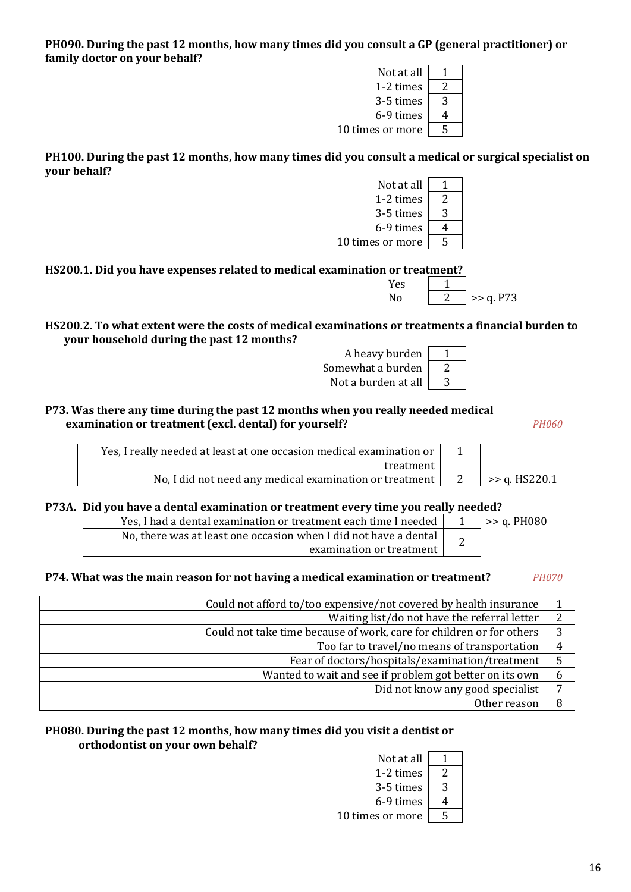#### **РН090. During the past 12 months, how many times did you consult a GP (general practitioner) or family doctor on your behalf?**  $N_{\rm M}$  at all  $\sqrt{1-4}$

| Not at all       |   |
|------------------|---|
| 1-2 times        |   |
| 3-5 times        | 2 |
| 6-9 times        |   |
| 10 times or more | 5 |
|                  |   |

Not at all  $\begin{vmatrix} 1 \end{vmatrix}$ 1-2 times  $\vert$  $3-5$  times  $\vert$ 6-9 times  $\vert$ 

10 times or more  $\sqrt{5}$ 

**РН100. During the past 12 months, how many times did you consult a medical or surgical specialist on your behalf?**

**HS200.1. Did you have expenses related to medical examination** 

**HS200.2. To what extent were the costs of medical examinations or treatments a financial burden to your household during the past 12 months?**

**P73. Was there any time during the past 12 months when you really needed medical examination or treatment (excl. dental) for yourself?** *PH060*

| Yes, I really needed at least at one occasion medical examination or |                      |
|----------------------------------------------------------------------|----------------------|
| treatment I                                                          |                      |
| No, I did not need any medical examination or treatment              | $>$ $\ge$ q. HS220.1 |

**Р73А. Did you have a dental examination or treatment every time you really needed?**

| Yes, I had a dental examination or treatment each time I needed  | $\ge$ q. PH080 |
|------------------------------------------------------------------|----------------|
| No, there was at least one occasion when I did not have a dental |                |
| examination or treatment                                         |                |

**P74. What was the main reason for not having a medical examination or treatment?** *PH070*

| Could not afford to/too expensive/not covered by health insurance    |   |
|----------------------------------------------------------------------|---|
| Waiting list/do not have the referral letter                         | ົ |
| Could not take time because of work, care for children or for others | 3 |
| Too far to travel/no means of transportation                         | 4 |
| Fear of doctors/hospitals/examination/treatment                      |   |
| Wanted to wait and see if problem got better on its own              | b |
| Did not know any good specialist                                     |   |
| Other reason                                                         | 8 |

# **РН080. During the past 12 months, how many times did you visit a dentist or orthodontist on your own behalf?**

| Not at all |   |
|------------|---|
| 1-2 times  |   |
| 3-5 times  | 3 |
| 6-9 times  |   |
| es or more | ⊏ |

| or treatment? |  |
|---------------|--|
| <b>Yes</b>    |  |
|               |  |

No  $\boxed{2}$  >> a P73

| .             | $-1$                    |
|---------------|-------------------------|
|               | ns or treatments a fina |
| $\frac{1}{2}$ |                         |

| A heavy burden      |  |
|---------------------|--|
| Somewhat a burden   |  |
| Not a burden at all |  |

| heavy burden  |  |
|---------------|--|
| vhat a burden |  |
| burden at all |  |

| Not at all       |   |
|------------------|---|
| 1-2 times        |   |
| 3-5 times        | 3 |
| 6-9 times        |   |
| 10 times or more |   |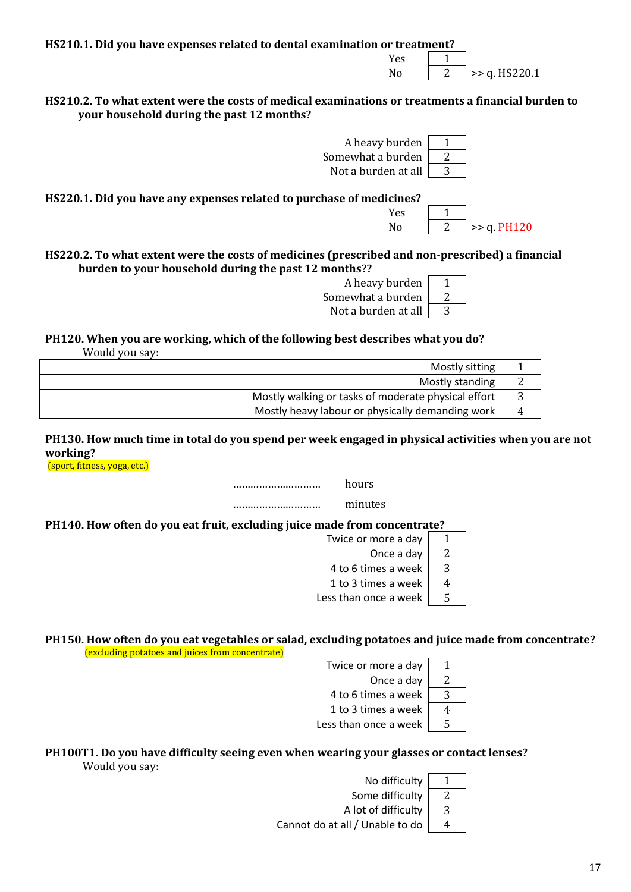**HS210.1. Did you have expenses related to dental examination or treatment?**

 $Yes$  1 No  $\vert$  2  $\vert$  >> q. HS220.1

No  $|2| > a$ . PH120

**HS210.2. To what extent were the costs of medical examinations or treatments a financial burden to your household during the past 12 months?**

> A heavy burden 1 Somewhat a burden  $\sqrt{2}$ Not a burden at all  $\vert$  3

> > $Yes$  1

**HS220.1. Did you have any expenses related to purchase of medicines?**

**HS220.2. To what extent were the costs of medicines (prescribed and non-prescribed) a financial burden to your household during the past 12 months??**



**PH120. When you are working, which of the following best describes what you do?** 

Would you say:

| Mostly sitting                                      |   |
|-----------------------------------------------------|---|
| Mostly standing                                     | ∠ |
| Mostly walking or tasks of moderate physical effort |   |
| Mostly heavy labour or physically demanding work    | 4 |

**PH130. How much time in total do you spend per week engaged in physical activities when you are not working?**

(sport, fitness, yoga, etc.)

………………………… hours

………………………… minutes

**PH140. How often do you eat fruit, excluding juice made from concentrate?** 

| Twice or more a day         |   |
|-----------------------------|---|
| Once a day                  |   |
| 4 to 6 times a week         | 2 |
| 1 to 3 times a week $\vert$ |   |
| Less than once a week       | ς |

#### **PH150. How often do you eat vegetables or salad, excluding potatoes and juice made from concentrate?** (excluding potatoes and juices from concentrate)

Twice or more a day  $\vert$  1 Once a day  $\boxed{2}$ 4 to 6 times a week  $\sqrt{3}$ 1 to 3 times a week  $\vert 4 \vert$ Less than once a week  $\sqrt{5}$ 

# **PH100T1. Do you have difficulty seeing even when wearing your glasses or contact lenses?**

Would you say:

| No difficulty                   |   |
|---------------------------------|---|
| Some difficulty                 |   |
| A lot of difficulty             | 3 |
| Cannot do at all / Unable to do |   |
|                                 |   |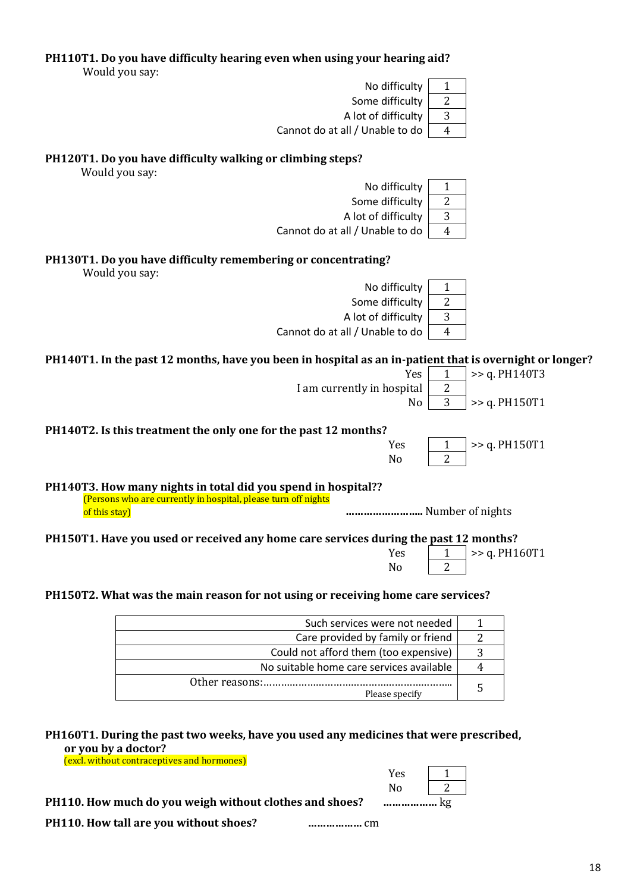|  |  |  | PH110T1. Do you have difficulty hearing even when using your hearing aid? |
|--|--|--|---------------------------------------------------------------------------|
|  |  |  |                                                                           |

Would you say:

|               | 2<br>Some difficulty                                                                                                            |
|---------------|---------------------------------------------------------------------------------------------------------------------------------|
|               | 3<br>A lot of difficulty                                                                                                        |
|               | $\overline{4}$<br>Cannot do at all / Unable to do                                                                               |
|               | PH120T1. Do you have difficulty walking or climbing steps?<br>Would you say:                                                    |
|               | No difficulty<br>$\mathbf{1}$                                                                                                   |
|               | Some difficulty<br>$\overline{c}$                                                                                               |
|               | 3<br>A lot of difficulty                                                                                                        |
|               | Cannot do at all / Unable to do<br>$\overline{4}$                                                                               |
|               | PH130T1. Do you have difficulty remembering or concentrating?<br>Would you say:                                                 |
|               | No difficulty<br>1                                                                                                              |
|               | $\mathbf{2}$<br>Some difficulty                                                                                                 |
|               | A lot of difficulty<br>3                                                                                                        |
|               | Cannot do at all / Unable to do<br>$\overline{4}$                                                                               |
|               | PH140T1. In the past 12 months, have you been in hospital as an in-patient that is overnight or longer?                         |
|               | >> q. PH140T3<br>Yes<br>1                                                                                                       |
|               | $\overline{2}$<br>I am currently in hospital                                                                                    |
|               | 3<br>>> q. PH150T1<br>No                                                                                                        |
|               | PH140T2. Is this treatment the only one for the past 12 months?                                                                 |
|               | >> q. PH150T1<br>Yes<br>1                                                                                                       |
|               | $\overline{2}$<br>N <sub>0</sub>                                                                                                |
|               | PH140T3. How many nights in total did you spend in hospital??<br>(Persons who are currently in hospital, please turn off nights |
| of this stay) | Number of nights                                                                                                                |
|               | PH150T1. Have you used or received any home care services during the past 12 months?                                            |
|               | >> q. PH160T1<br>Yes<br>$\mathbf{1}$<br>$\overline{c}$<br>No                                                                    |
|               | PH150T2. What was the main reason for not using or receiving home care services?                                                |
|               | Such services were not needed<br>$\mathbf{1}$                                                                                   |
|               | Care provided by family or friend<br>2                                                                                          |
|               | 3<br>Could not afford them (too expensive)                                                                                      |

| No suitable home care services available |  |
|------------------------------------------|--|
| Please specify                           |  |
|                                          |  |
|                                          |  |

**PH160T1. During the past two weeks, have you used any medicines that were prescribed, or you by a doctor?**

(excl. without contraceptives and hormones)

**PH110. How much do you weigh without clothes and shoes? ………………** kg

**PH110. How tall are you without shoes? ………………** cm

 $Yes \t 1$  $\sqrt{2}$ 

No difficulty  $\boxed{1}$ 

 $\overline{\phantom{a}}$